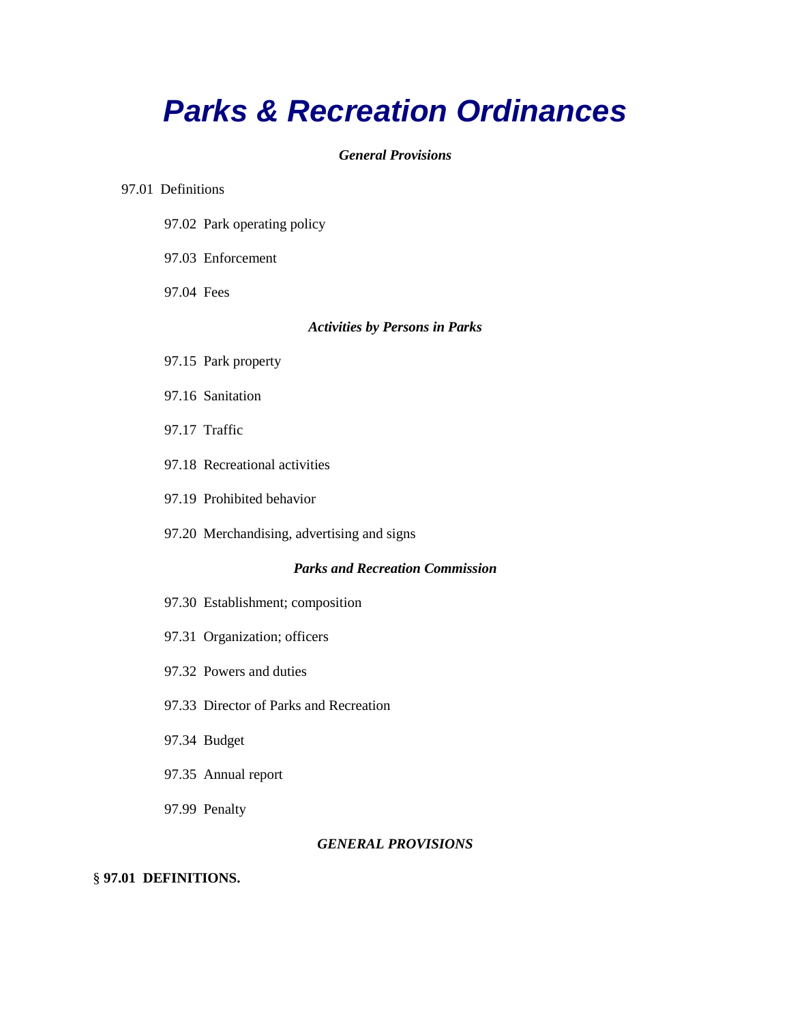# *Parks & Recreation Ordinances*

# *General Provisions*

## 97.01 Definitions

- 97.02 Park operating policy
- 97.03 Enforcement
- 97.04 Fees

# *Activities by Persons in Parks*

- 97.15 Park property
- 97.16 Sanitation
- 97.17 Traffic
- 97.18 Recreational activities
- 97.19 Prohibited behavior
- 97.20 Merchandising, advertising and signs

# *Parks and Recreation Commission*

- 97.30 Establishment; composition
- 97.31 Organization; officers
- 97.32 Powers and duties
- 97.33 Director of Parks and Recreation
- 97.34 Budget
- 97.35 Annual report
- 97.99 Penalty

## *GENERAL PROVISIONS*

# § **97.01 DEFINITIONS.**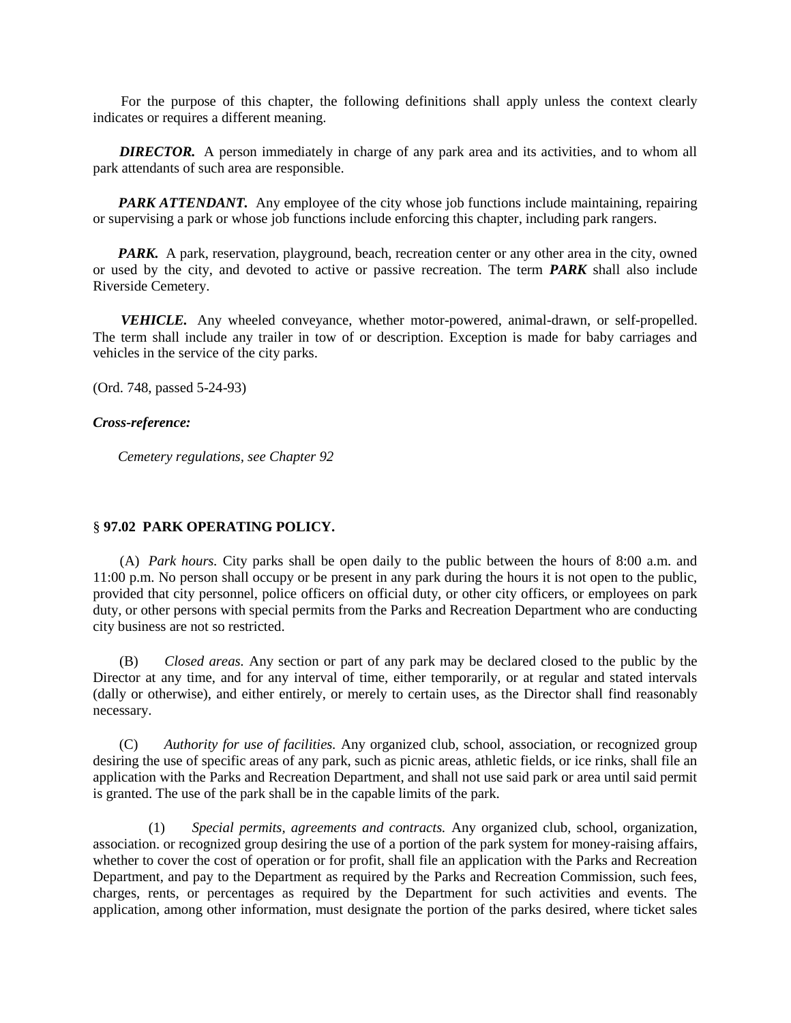For the purpose of this chapter, the following definitions shall apply unless the context clearly indicates or requires a different meaning.

**DIRECTOR.** A person immediately in charge of any park area and its activities, and to whom all park attendants of such area are responsible.

*PARK ATTENDANT.* Any employee of the city whose job functions include maintaining, repairing or supervising a park or whose job functions include enforcing this chapter, including park rangers.

*PARK.* A park, reservation, playground, beach, recreation center or any other area in the city, owned or used by the city, and devoted to active or passive recreation. The term *PARK* shall also include Riverside Cemetery.

 *VEHICLE.* Any wheeled conveyance, whether motor-powered, animal-drawn, or self-propelled. The term shall include any trailer in tow of or description. Exception is made for baby carriages and vehicles in the service of the city parks.

(Ord. 748, passed 5-24-93)

#### *Cross-reference:*

 *Cemetery regulations, see Chapter 92*

# § **97.02 PARK OPERATING POLICY.**

 (A) *Park hours.* City parks shall be open daily to the public between the hours of 8:00 a.m. and 11:00 p.m. No person shall occupy or be present in any park during the hours it is not open to the public, provided that city personnel, police officers on official duty, or other city officers, or employees on park duty, or other persons with special permits from the Parks and Recreation Department who are conducting city business are not so restricted.

 (B) *Closed areas.* Any section or part of any park may be declared closed to the public by the Director at any time, and for any interval of time, either temporarily, or at regular and stated intervals (dally or otherwise), and either entirely, or merely to certain uses, as the Director shall find reasonably necessary.

 (C) *Authority for use of facilities.* Any organized club, school, association, or recognized group desiring the use of specific areas of any park, such as picnic areas, athletic fields, or ice rinks, shall file an application with the Parks and Recreation Department, and shall not use said park or area until said permit is granted. The use of the park shall be in the capable limits of the park.

 (1) *Special permits, agreements and contracts.* Any organized club, school, organization, association. or recognized group desiring the use of a portion of the park system for money-raising affairs, whether to cover the cost of operation or for profit, shall file an application with the Parks and Recreation Department, and pay to the Department as required by the Parks and Recreation Commission, such fees, charges, rents, or percentages as required by the Department for such activities and events. The application, among other information, must designate the portion of the parks desired, where ticket sales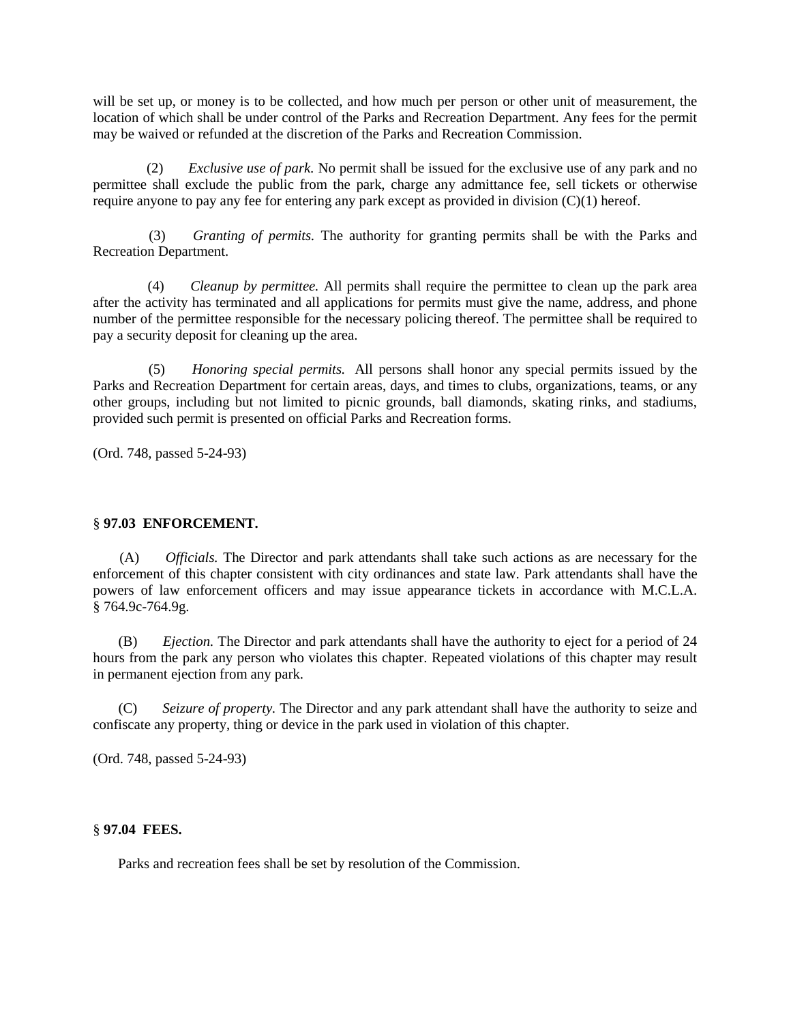will be set up, or money is to be collected, and how much per person or other unit of measurement, the location of which shall be under control of the Parks and Recreation Department. Any fees for the permit may be waived or refunded at the discretion of the Parks and Recreation Commission.

 (2) *Exclusive use of park.* No permit shall be issued for the exclusive use of any park and no permittee shall exclude the public from the park, charge any admittance fee, sell tickets or otherwise require anyone to pay any fee for entering any park except as provided in division  $(C)(1)$  hereof.

 (3) *Granting of permits.* The authority for granting permits shall be with the Parks and Recreation Department.

 (4) *Cleanup by permittee.* All permits shall require the permittee to clean up the park area after the activity has terminated and all applications for permits must give the name, address, and phone number of the permittee responsible for the necessary policing thereof. The permittee shall be required to pay a security deposit for cleaning up the area.

 (5) *Honoring special permits.* All persons shall honor any special permits issued by the Parks and Recreation Department for certain areas, days, and times to clubs, organizations, teams, or any other groups, including but not limited to picnic grounds, ball diamonds, skating rinks, and stadiums, provided such permit is presented on official Parks and Recreation forms.

(Ord. 748, passed 5-24-93)

# § **97.03 ENFORCEMENT.**

 (A) *Officials.* The Director and park attendants shall take such actions as are necessary for the enforcement of this chapter consistent with city ordinances and state law. Park attendants shall have the powers of law enforcement officers and may issue appearance tickets in accordance with M.C.L.A. § 764.9c-764.9g.

 (B) *Ejection.* The Director and park attendants shall have the authority to eject for a period of 24 hours from the park any person who violates this chapter. Repeated violations of this chapter may result in permanent ejection from any park.

 (C) *Seizure of property.* The Director and any park attendant shall have the authority to seize and confiscate any property, thing or device in the park used in violation of this chapter.

(Ord. 748, passed 5-24-93)

## § **97.04 FEES.**

Parks and recreation fees shall be set by resolution of the Commission.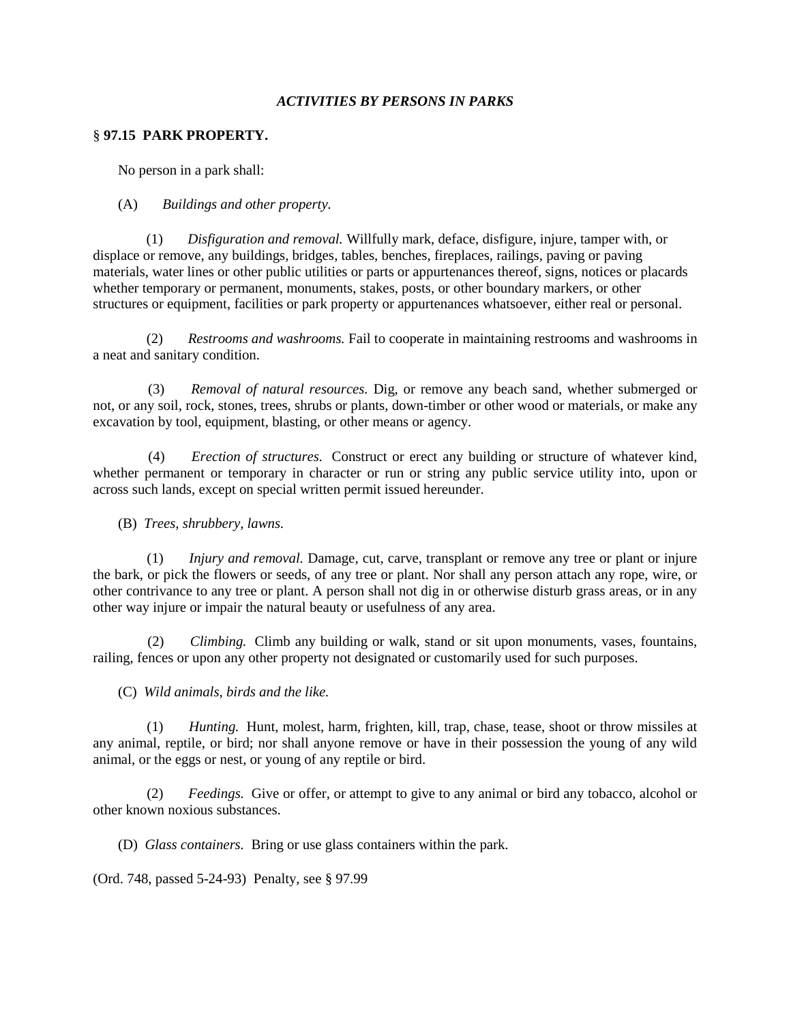## *ACTIVITIES BY PERSONS IN PARKS*

## § **97.15 PARK PROPERTY.**

No person in a park shall:

## (A) *Buildings and other property.*

 (1) *Disfiguration and removal.* Willfully mark, deface, disfigure, injure, tamper with, or displace or remove, any buildings, bridges, tables, benches, fireplaces, railings, paving or paving materials, water lines or other public utilities or parts or appurtenances thereof, signs, notices or placards whether temporary or permanent, monuments, stakes, posts, or other boundary markers, or other structures or equipment, facilities or park property or appurtenances whatsoever, either real or personal.

 (2) *Restrooms and washrooms.* Fail to cooperate in maintaining restrooms and washrooms in a neat and sanitary condition.

 (3) *Removal of natural resources.* Dig, or remove any beach sand, whether submerged or not, or any soil, rock, stones, trees, shrubs or plants, down-timber or other wood or materials, or make any excavation by tool, equipment, blasting, or other means or agency.

 (4) *Erection of structures.* Construct or erect any building or structure of whatever kind, whether permanent or temporary in character or run or string any public service utility into, upon or across such lands, except on special written permit issued hereunder.

(B) *Trees, shrubbery, lawns.*

 (1) *Injury and removal.* Damage, cut, carve, transplant or remove any tree or plant or injure the bark, or pick the flowers or seeds, of any tree or plant. Nor shall any person attach any rope, wire, or other contrivance to any tree or plant. A person shall not dig in or otherwise disturb grass areas, or in any other way injure or impair the natural beauty or usefulness of any area.

 (2) *Climbing.* Climb any building or walk, stand or sit upon monuments, vases, fountains, railing, fences or upon any other property not designated or customarily used for such purposes.

(C) *Wild animals, birds and the like.*

 (1) *Hunting.* Hunt, molest, harm, frighten, kill, trap, chase, tease, shoot or throw missiles at any animal, reptile, or bird; nor shall anyone remove or have in their possession the young of any wild animal, or the eggs or nest, or young of any reptile or bird.

 (2) *Feedings.* Give or offer, or attempt to give to any animal or bird any tobacco, alcohol or other known noxious substances.

(D) *Glass containers.* Bring or use glass containers within the park.

(Ord. 748, passed 5-24-93) Penalty, see § 97.99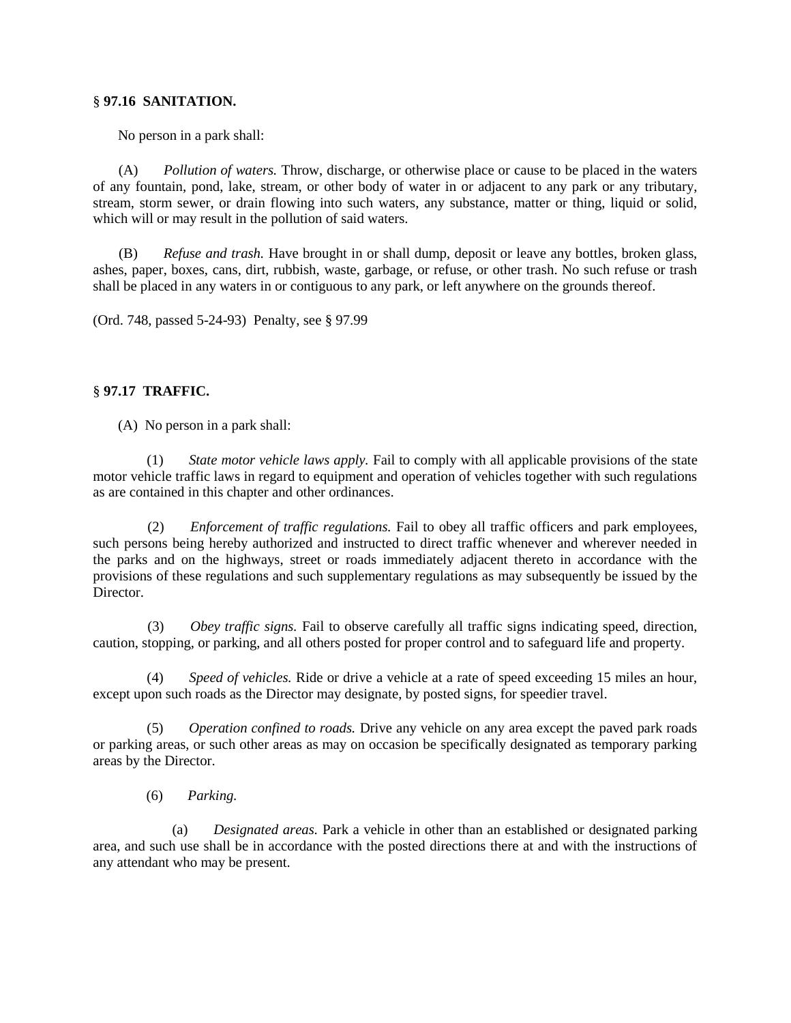# § **97.16 SANITATION.**

No person in a park shall:

 (A) *Pollution of waters.* Throw, discharge, or otherwise place or cause to be placed in the waters of any fountain, pond, lake, stream, or other body of water in or adjacent to any park or any tributary, stream, storm sewer, or drain flowing into such waters, any substance, matter or thing, liquid or solid, which will or may result in the pollution of said waters.

 (B) *Refuse and trash.* Have brought in or shall dump, deposit or leave any bottles, broken glass, ashes, paper, boxes, cans, dirt, rubbish, waste, garbage, or refuse, or other trash. No such refuse or trash shall be placed in any waters in or contiguous to any park, or left anywhere on the grounds thereof.

(Ord. 748, passed 5-24-93) Penalty, see § 97.99

# § **97.17 TRAFFIC.**

(A) No person in a park shall:

 (1) *State motor vehicle laws apply.* Fail to comply with all applicable provisions of the state motor vehicle traffic laws in regard to equipment and operation of vehicles together with such regulations as are contained in this chapter and other ordinances.

 (2) *Enforcement of traffic regulations.* Fail to obey all traffic officers and park employees, such persons being hereby authorized and instructed to direct traffic whenever and wherever needed in the parks and on the highways, street or roads immediately adjacent thereto in accordance with the provisions of these regulations and such supplementary regulations as may subsequently be issued by the Director.

 (3) *Obey traffic signs.* Fail to observe carefully all traffic signs indicating speed, direction, caution, stopping, or parking, and all others posted for proper control and to safeguard life and property.

*Speed of vehicles.* Ride or drive a vehicle at a rate of speed exceeding 15 miles an hour, except upon such roads as the Director may designate, by posted signs, for speedier travel.

 (5) *Operation confined to roads.* Drive any vehicle on any area except the paved park roads or parking areas, or such other areas as may on occasion be specifically designated as temporary parking areas by the Director.

(6) *Parking.*

 (a) *Designated areas.* Park a vehicle in other than an established or designated parking area, and such use shall be in accordance with the posted directions there at and with the instructions of any attendant who may be present.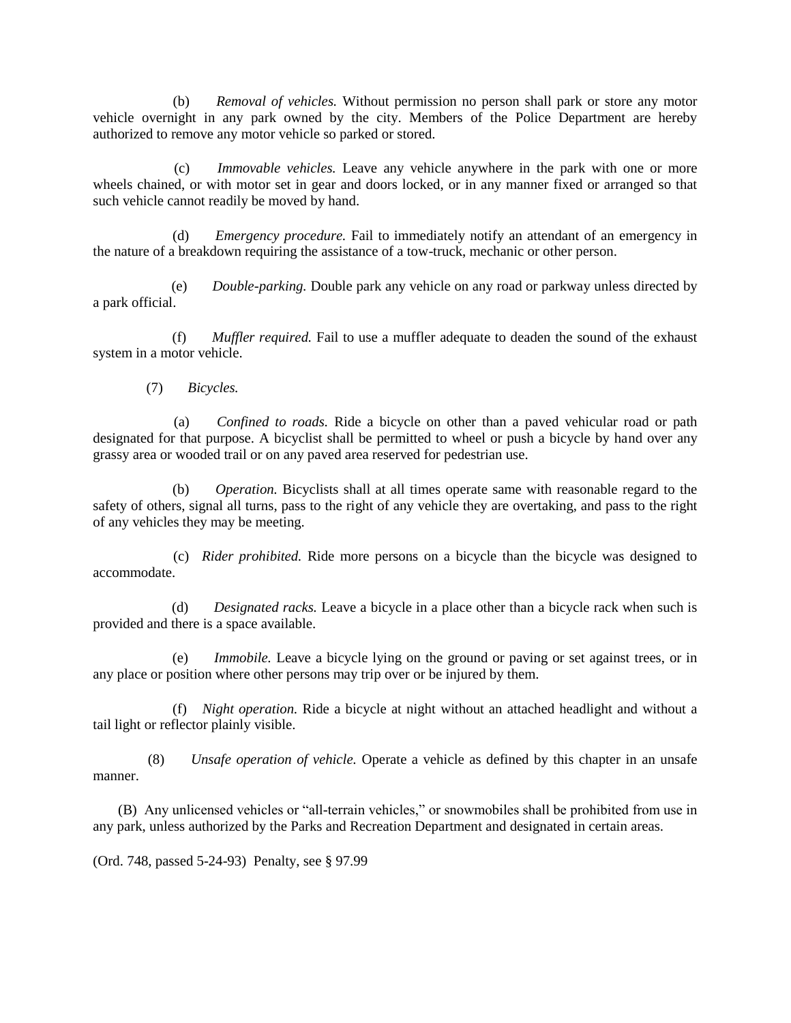(b) *Removal of vehicles.* Without permission no person shall park or store any motor vehicle overnight in any park owned by the city. Members of the Police Department are hereby authorized to remove any motor vehicle so parked or stored.

 (c) *Immovable vehicles.* Leave any vehicle anywhere in the park with one or more wheels chained, or with motor set in gear and doors locked, or in any manner fixed or arranged so that such vehicle cannot readily be moved by hand.

 (d) *Emergency procedure.* Fail to immediately notify an attendant of an emergency in the nature of a breakdown requiring the assistance of a tow-truck, mechanic or other person.

 (e) *Double-parking.* Double park any vehicle on any road or parkway unless directed by a park official.

 (f) *Muffler required.* Fail to use a muffler adequate to deaden the sound of the exhaust system in a motor vehicle.

(7) *Bicycles.*

 (a) *Confined to roads.* Ride a bicycle on other than a paved vehicular road or path designated for that purpose. A bicyclist shall be permitted to wheel or push a bicycle by hand over any grassy area or wooded trail or on any paved area reserved for pedestrian use.

 (b) *Operation.* Bicyclists shall at all times operate same with reasonable regard to the safety of others, signal all turns, pass to the right of any vehicle they are overtaking, and pass to the right of any vehicles they may be meeting.

 (c) *Rider prohibited.* Ride more persons on a bicycle than the bicycle was designed to accommodate.

 (d) *Designated racks.* Leave a bicycle in a place other than a bicycle rack when such is provided and there is a space available.

 (e) *Immobile.* Leave a bicycle lying on the ground or paving or set against trees, or in any place or position where other persons may trip over or be injured by them.

 (f) *Night operation.* Ride a bicycle at night without an attached headlight and without a tail light or reflector plainly visible.

 (8) *Unsafe operation of vehicle.* Operate a vehicle as defined by this chapter in an unsafe manner.

 (B) Any unlicensed vehicles or "all-terrain vehicles," or snowmobiles shall be prohibited from use in any park, unless authorized by the Parks and Recreation Department and designated in certain areas.

(Ord. 748, passed 5-24-93) Penalty, see § 97.99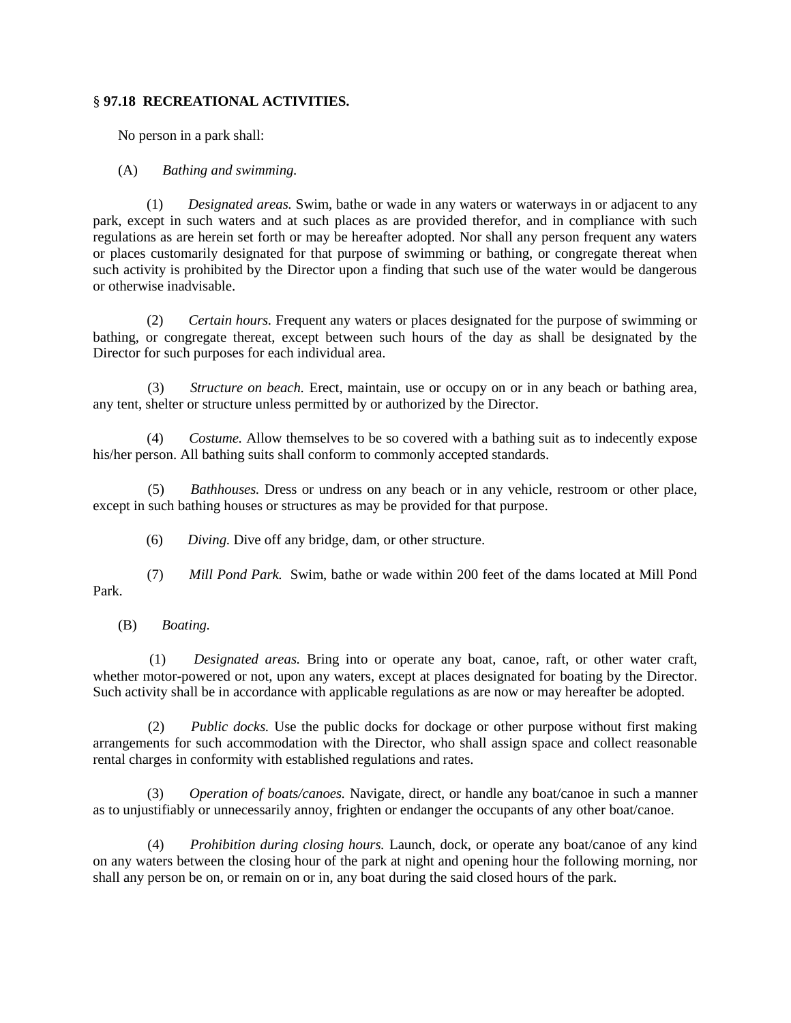# § **97.18 RECREATIONAL ACTIVITIES.**

No person in a park shall:

(A) *Bathing and swimming.*

 (1) *Designated areas.* Swim, bathe or wade in any waters or waterways in or adjacent to any park, except in such waters and at such places as are provided therefor, and in compliance with such regulations as are herein set forth or may be hereafter adopted. Nor shall any person frequent any waters or places customarily designated for that purpose of swimming or bathing, or congregate thereat when such activity is prohibited by the Director upon a finding that such use of the water would be dangerous or otherwise inadvisable.

 (2) *Certain hours.* Frequent any waters or places designated for the purpose of swimming or bathing, or congregate thereat, except between such hours of the day as shall be designated by the Director for such purposes for each individual area.

 (3) *Structure on beach.* Erect, maintain, use or occupy on or in any beach or bathing area, any tent, shelter or structure unless permitted by or authorized by the Director.

 (4) *Costume.* Allow themselves to be so covered with a bathing suit as to indecently expose his/her person. All bathing suits shall conform to commonly accepted standards.

 (5) *Bathhouses.* Dress or undress on any beach or in any vehicle, restroom or other place, except in such bathing houses or structures as may be provided for that purpose.

(6) *Diving.* Dive off any bridge, dam, or other structure.

 (7) *Mill Pond Park.* Swim, bathe or wade within 200 feet of the dams located at Mill Pond Park.

(B) *Boating.*

 (1) *Designated areas.* Bring into or operate any boat, canoe, raft, or other water craft, whether motor-powered or not, upon any waters, except at places designated for boating by the Director. Such activity shall be in accordance with applicable regulations as are now or may hereafter be adopted.

 (2) *Public docks.* Use the public docks for dockage or other purpose without first making arrangements for such accommodation with the Director, who shall assign space and collect reasonable rental charges in conformity with established regulations and rates.

 (3) *Operation of boats/canoes.* Navigate, direct, or handle any boat/canoe in such a manner as to unjustifiably or unnecessarily annoy, frighten or endanger the occupants of any other boat/canoe.

 (4) *Prohibition during closing hours.* Launch, dock, or operate any boat/canoe of any kind on any waters between the closing hour of the park at night and opening hour the following morning, nor shall any person be on, or remain on or in, any boat during the said closed hours of the park.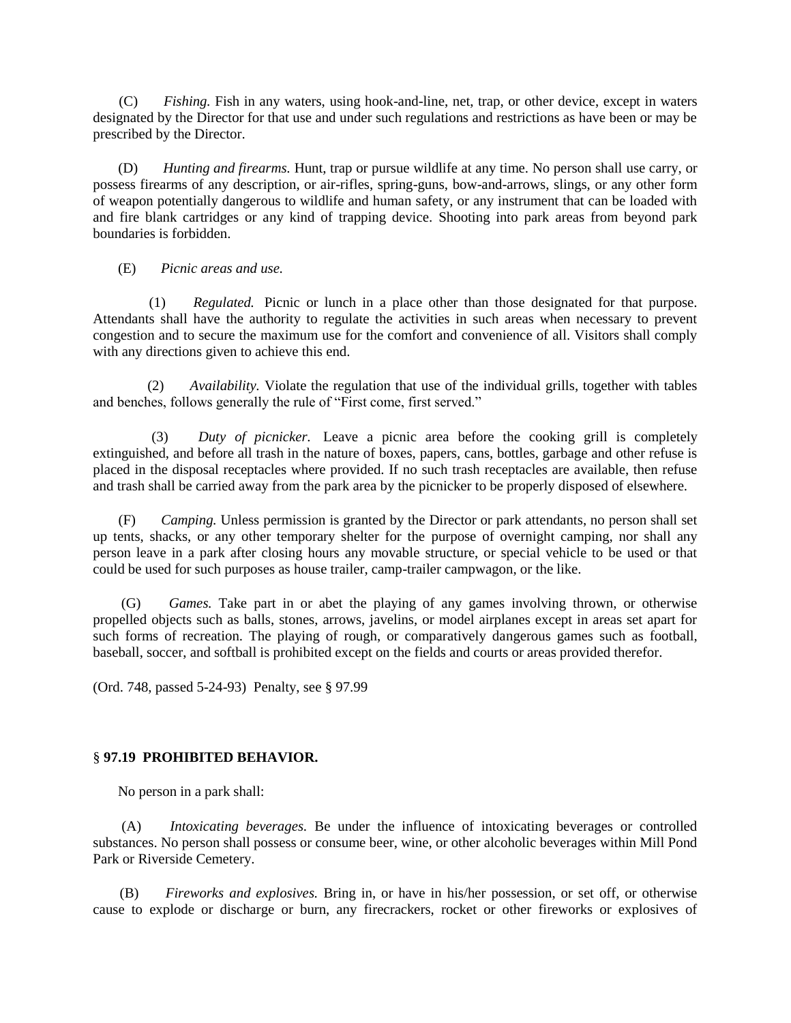(C) *Fishing.* Fish in any waters, using hook-and-line, net, trap, or other device, except in waters designated by the Director for that use and under such regulations and restrictions as have been or may be prescribed by the Director.

 (D) *Hunting and firearms.* Hunt, trap or pursue wildlife at any time. No person shall use carry, or possess firearms of any description, or air-rifles, spring-guns, bow-and-arrows, slings, or any other form of weapon potentially dangerous to wildlife and human safety, or any instrument that can be loaded with and fire blank cartridges or any kind of trapping device. Shooting into park areas from beyond park boundaries is forbidden.

(E) *Picnic areas and use.*

 (1) *Regulated.* Picnic or lunch in a place other than those designated for that purpose. Attendants shall have the authority to regulate the activities in such areas when necessary to prevent congestion and to secure the maximum use for the comfort and convenience of all. Visitors shall comply with any directions given to achieve this end.

 (2) *Availability.* Violate the regulation that use of the individual grills, together with tables and benches, follows generally the rule of "First come, first served."

 (3) *Duty of picnicker.* Leave a picnic area before the cooking grill is completely extinguished, and before all trash in the nature of boxes, papers, cans, bottles, garbage and other refuse is placed in the disposal receptacles where provided. If no such trash receptacles are available, then refuse and trash shall be carried away from the park area by the picnicker to be properly disposed of elsewhere.

 (F) *Camping.* Unless permission is granted by the Director or park attendants, no person shall set up tents, shacks, or any other temporary shelter for the purpose of overnight camping, nor shall any person leave in a park after closing hours any movable structure, or special vehicle to be used or that could be used for such purposes as house trailer, camp-trailer campwagon, or the like.

 (G) *Games.* Take part in or abet the playing of any games involving thrown, or otherwise propelled objects such as balls, stones, arrows, javelins, or model airplanes except in areas set apart for such forms of recreation. The playing of rough, or comparatively dangerous games such as football, baseball, soccer, and softball is prohibited except on the fields and courts or areas provided therefor.

(Ord. 748, passed 5-24-93) Penalty, see § 97.99

# § **97.19 PROHIBITED BEHAVIOR.**

No person in a park shall:

 (A) *Intoxicating beverages.* Be under the influence of intoxicating beverages or controlled substances. No person shall possess or consume beer, wine, or other alcoholic beverages within Mill Pond Park or Riverside Cemetery.

 (B) *Fireworks and explosives.* Bring in, or have in his/her possession, or set off, or otherwise cause to explode or discharge or burn, any firecrackers, rocket or other fireworks or explosives of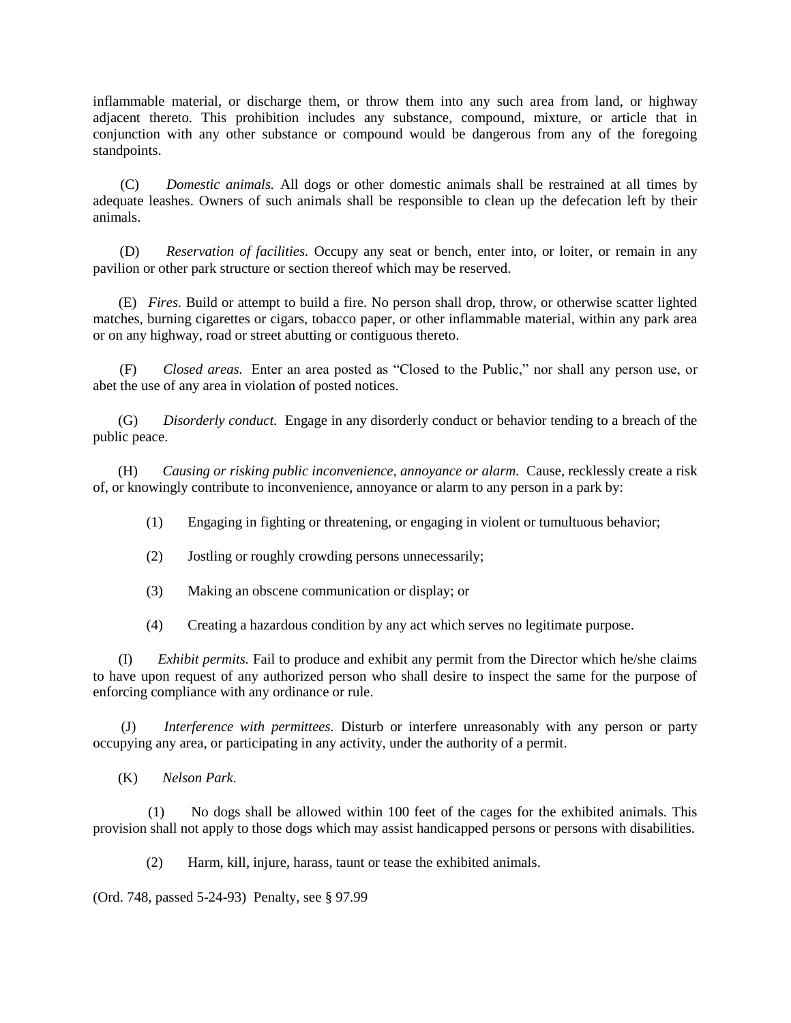inflammable material, or discharge them, or throw them into any such area from land, or highway adjacent thereto. This prohibition includes any substance, compound, mixture, or article that in conjunction with any other substance or compound would be dangerous from any of the foregoing standpoints.

 (C) *Domestic animals.* All dogs or other domestic animals shall be restrained at all times by adequate leashes. Owners of such animals shall be responsible to clean up the defecation left by their animals.

 (D) *Reservation of facilities.* Occupy any seat or bench, enter into, or loiter, or remain in any pavilion or other park structure or section thereof which may be reserved.

 (E) *Fires.* Build or attempt to build a fire. No person shall drop, throw, or otherwise scatter lighted matches, burning cigarettes or cigars, tobacco paper, or other inflammable material, within any park area or on any highway, road or street abutting or contiguous thereto.

 (F) *Closed areas.* Enter an area posted as "Closed to the Public," nor shall any person use, or abet the use of any area in violation of posted notices.

 (G) *Disorderly conduct.* Engage in any disorderly conduct or behavior tending to a breach of the public peace.

 (H) *Causing or risking public inconvenience, annoyance or alarm.* Cause, recklessly create a risk of, or knowingly contribute to inconvenience, annoyance or alarm to any person in a park by:

(1) Engaging in fighting or threatening, or engaging in violent or tumultuous behavior;

- (2) Jostling or roughly crowding persons unnecessarily;
- (3) Making an obscene communication or display; or
- (4) Creating a hazardous condition by any act which serves no legitimate purpose.

 (I) *Exhibit permits.* Fail to produce and exhibit any permit from the Director which he/she claims to have upon request of any authorized person who shall desire to inspect the same for the purpose of enforcing compliance with any ordinance or rule.

 (J) *Interference with permittees.* Disturb or interfere unreasonably with any person or party occupying any area, or participating in any activity, under the authority of a permit.

(K) *Nelson Park.*

 (1) No dogs shall be allowed within 100 feet of the cages for the exhibited animals. This provision shall not apply to those dogs which may assist handicapped persons or persons with disabilities.

(2) Harm, kill, injure, harass, taunt or tease the exhibited animals.

(Ord. 748, passed 5-24-93) Penalty, see § 97.99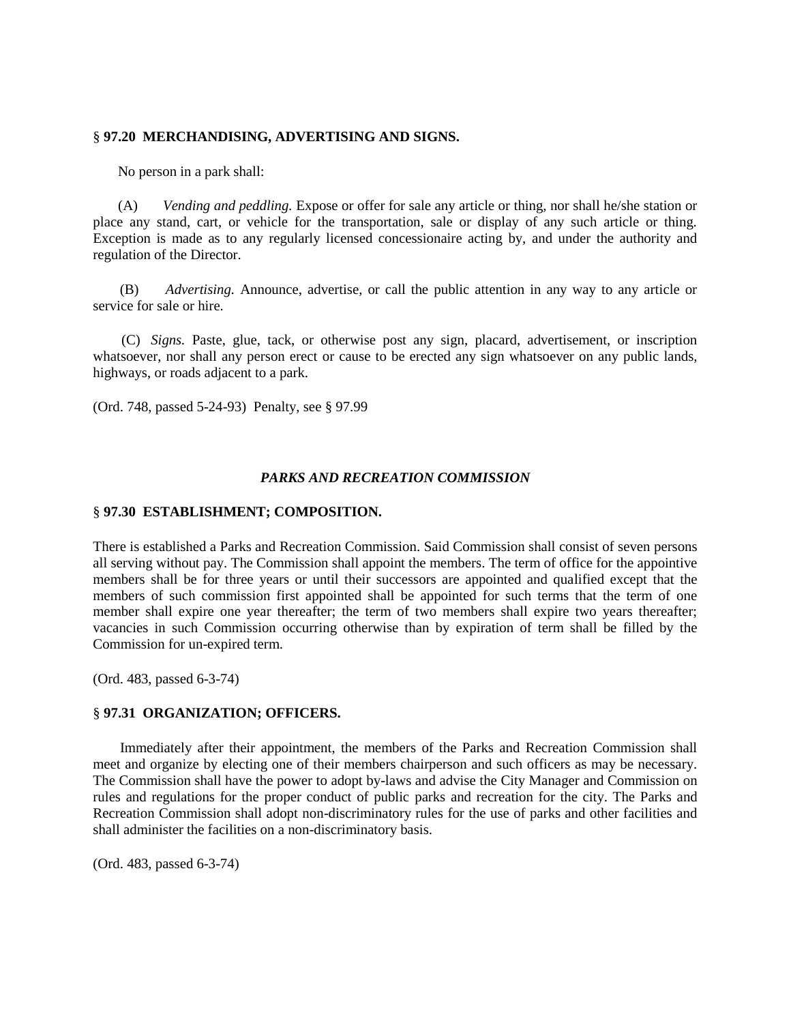#### § **97.20 MERCHANDISING, ADVERTISING AND SIGNS.**

No person in a park shall:

 (A) *Vending and peddling.* Expose or offer for sale any article or thing, nor shall he/she station or place any stand, cart, or vehicle for the transportation, sale or display of any such article or thing. Exception is made as to any regularly licensed concessionaire acting by, and under the authority and regulation of the Director.

 (B) *Advertising.* Announce, advertise, or call the public attention in any way to any article or service for sale or hire.

 (C) *Signs.* Paste, glue, tack, or otherwise post any sign, placard, advertisement, or inscription whatsoever, nor shall any person erect or cause to be erected any sign whatsoever on any public lands, highways, or roads adjacent to a park.

(Ord. 748, passed 5-24-93) Penalty, see § 97.99

#### *PARKS AND RECREATION COMMISSION*

#### § **97.30 ESTABLISHMENT; COMPOSITION.**

There is established a Parks and Recreation Commission. Said Commission shall consist of seven persons all serving without pay. The Commission shall appoint the members. The term of office for the appointive members shall be for three years or until their successors are appointed and qualified except that the members of such commission first appointed shall be appointed for such terms that the term of one member shall expire one year thereafter; the term of two members shall expire two years thereafter; vacancies in such Commission occurring otherwise than by expiration of term shall be filled by the Commission for un-expired term.

(Ord. 483, passed 6-3-74)

## § **97.31 ORGANIZATION; OFFICERS.**

 Immediately after their appointment, the members of the Parks and Recreation Commission shall meet and organize by electing one of their members chairperson and such officers as may be necessary. The Commission shall have the power to adopt by-laws and advise the City Manager and Commission on rules and regulations for the proper conduct of public parks and recreation for the city. The Parks and Recreation Commission shall adopt non-discriminatory rules for the use of parks and other facilities and shall administer the facilities on a non-discriminatory basis.

(Ord. 483, passed 6-3-74)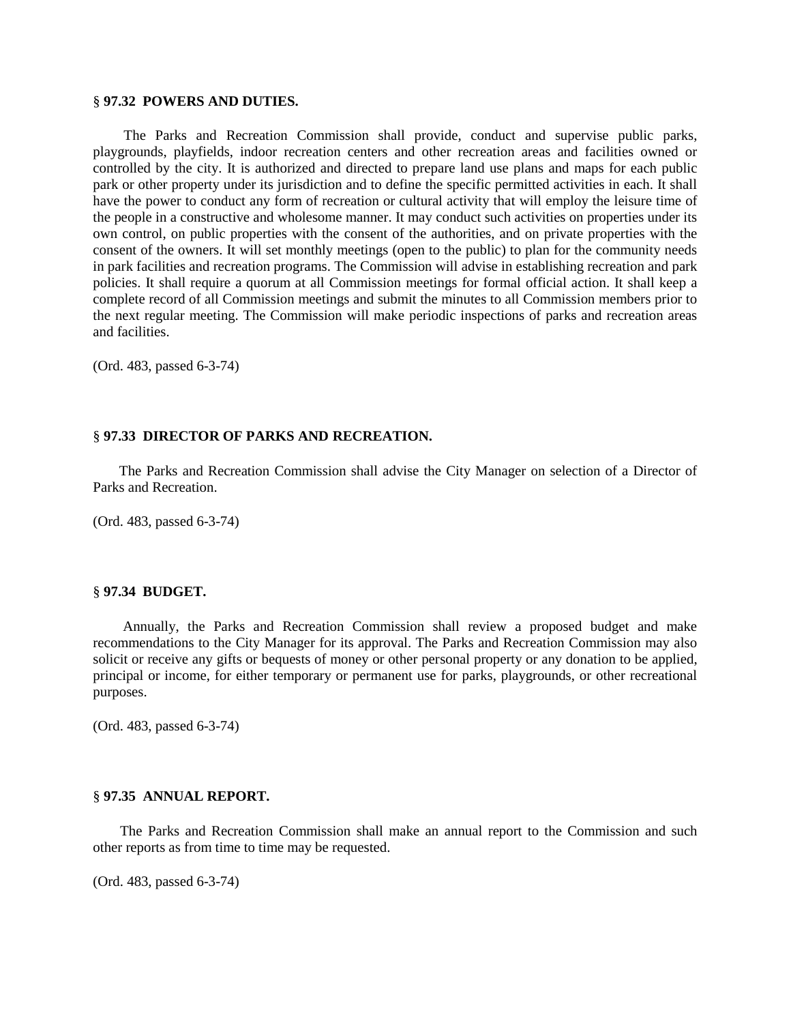#### § **97.32 POWERS AND DUTIES.**

 The Parks and Recreation Commission shall provide, conduct and supervise public parks, playgrounds, playfields, indoor recreation centers and other recreation areas and facilities owned or controlled by the city. It is authorized and directed to prepare land use plans and maps for each public park or other property under its jurisdiction and to define the specific permitted activities in each. It shall have the power to conduct any form of recreation or cultural activity that will employ the leisure time of the people in a constructive and wholesome manner. It may conduct such activities on properties under its own control, on public properties with the consent of the authorities, and on private properties with the consent of the owners. It will set monthly meetings (open to the public) to plan for the community needs in park facilities and recreation programs. The Commission will advise in establishing recreation and park policies. It shall require a quorum at all Commission meetings for formal official action. It shall keep a complete record of all Commission meetings and submit the minutes to all Commission members prior to the next regular meeting. The Commission will make periodic inspections of parks and recreation areas and facilities.

(Ord. 483, passed 6-3-74)

#### § **97.33 DIRECTOR OF PARKS AND RECREATION.**

 The Parks and Recreation Commission shall advise the City Manager on selection of a Director of Parks and Recreation.

(Ord. 483, passed 6-3-74)

#### § **97.34 BUDGET.**

 Annually, the Parks and Recreation Commission shall review a proposed budget and make recommendations to the City Manager for its approval. The Parks and Recreation Commission may also solicit or receive any gifts or bequests of money or other personal property or any donation to be applied, principal or income, for either temporary or permanent use for parks, playgrounds, or other recreational purposes.

(Ord. 483, passed 6-3-74)

#### § **97.35 ANNUAL REPORT.**

 The Parks and Recreation Commission shall make an annual report to the Commission and such other reports as from time to time may be requested.

(Ord. 483, passed 6-3-74)